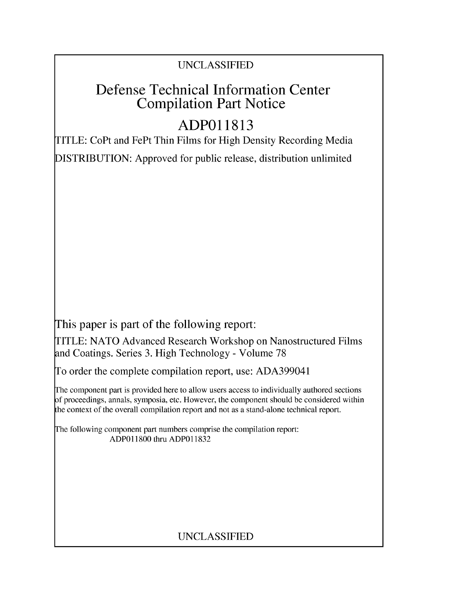## UNCLASSIFIED

# Defense Technical Information Center Compilation Part Notice

# **ADPO 11813**

TITLE: CoPt and FePt Thin Films for High Density Recording Media DISTRIBUTION: Approved for public release, distribution unlimited

This paper is part of the following report:

TITLE: NATO Advanced Research Workshop on Nanostructured Films and Coatings. Series 3. High Technology - Volume 78

To order the complete compilation report, use: ADA399041

The component part is provided here to allow users access to individually authored sections f proceedings, annals, symposia, etc. However, the component should be considered within [he context of the overall compilation report and not as a stand-alone technical report.

The following component part numbers comprise the compilation report: ADPO11800 thru ADP011832

## UNCLASSIFIED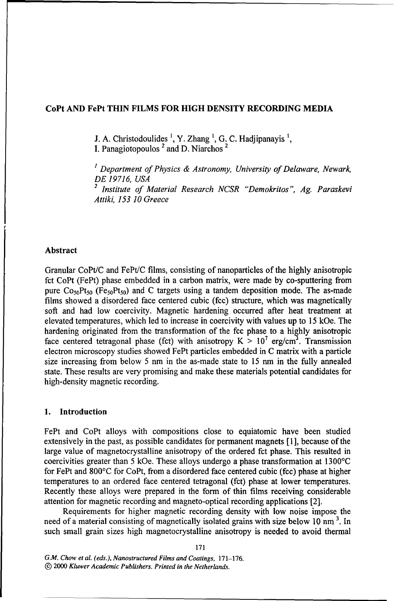#### CoPt **AND** FePt **THIN** FILMS FOR **HIGH DENSITY** RECORDING **MEDIA**

**J. A.** Christodoulides **1,** Y. Zhang **1,** G. C. Hadjipanayis',

I. Panagiotopoulos<sup>2</sup> and D. Niarchos<sup>2</sup>

*<sup>1</sup>Department of Physics & Astronomy, University of Delaware, Newark, DE 19716, USA 2 Institute of Material Research NCSR "Demokritos", Ag. Paraskevi Attiki, 153 10 Greece*

#### Abstract

Granular CoPt/C and FePt/C films, consisting of nanoparticles of the highly anisotropic fct CoPt (FePt) phase embedded in a carbon matrix, were made by co-sputtering from pure  $Co<sub>50</sub>Pt<sub>50</sub>$  (Fe<sub>50</sub>Pt<sub>50</sub>) and C targets using a tandem deposition mode. The as-made films showed a disordered face centered cubic (fcc) structure, which was magnetically soft and had low coercivity. Magnetic hardening occurred after heat treatment at elevated temperatures, which led to increase in coercivity with values up to 15 kOe. The hardening originated from the transformation of the fcc phase to a highly anisotropic face centered tetragonal phase (fct) with anisotropy  $K > 10^7$  erg/cm<sup>3</sup>. Transmission electron microscopy studies showed FePt particles embedded in C matrix with a particle size increasing from below 5 nm in the as-made state to 15 nm in the fully annealed state. These results are very promising and make these materials potential candidates for high-density magnetic recording.

#### **1.** Introduction

FePt and CoPt alloys with compositions close to equiatomic have been studied extensively in the past, as possible candidates for permanent magnets [1], because of the large value of magnetocrystalline anisotropy of the ordered fct phase. This resulted in coercivities greater than 5 kOe. These alloys undergo a phase transformation at 1300'C for FePt and 800'C for CoPt, from a disordered face centered cubic (fcc) phase at higher temperatures to an ordered face centered tetragonal (fct) phase at lower temperatures. Recently these alloys were prepared in the form of thin films receiving considerable attention for magnetic recording and magneto-optical recording applications [2].

Requirements for higher magnetic recording density with low noise impose the need of a material consisting of magnetically isolated grains with size below 10 nm **3.** In such small grain sizes high magnetocrystalline anisotropy is needed to avoid thermal

*G.M. Chow et al. (eds.), Nanostructured Films and Coatings,* 171-176. **©** 2000 *Kluwer Academic Publishers. Printed in the Netherlands.*

171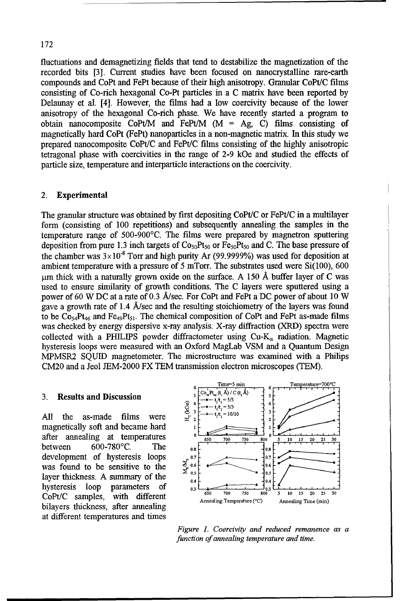#### 172

fluctuations and demagnetizing fields that tend to destabilize the magnetization of the recorded bits [3]. Current studies have been focused on nanocrystalline rare-earth compounds and CoPt and FePt because of their high anisotropy. Granular CoPt/C films consisting of Co-rich hexagonal Co-Pt particles in a C matrix have been reported by Delaunay et al. [4]. However, the films had a low coercivity because of the lower anisotropy of the hexagonal Co-rich phase. We have recently started a program to obtain nanocomposite CoPt/M and FePt/M  $(M = Ag, C)$  films consisting of magnetically hard CoPt (FePt) nanoparticles in a non-magnetic matrix. In this study we prepared nanocomposite CoPt/C and FePt/C films consisting of the highly anisotropic tetragonal phase with coercivities in the range of 2-9 kOe and studied the effects of particle size, temperature and interparticle interactions on the coercivity.

#### 2. Experimental

The granular structure was obtained by first depositing CoPt/C or FePt/C in a multilayer form (consisting of 100 repetitions) and subsequently annealing the samples in the temperature range of  $500$ -900 $^{\circ}$ C. The films were prepared by magnetron sputtering deposition from pure 1.3 inch targets of  $Co<sub>50</sub>Pt<sub>50</sub>$  or  $Fe<sub>50</sub>Pt<sub>50</sub>$  and C. The base pressure of the chamber was  $3 \times 10^{-8}$  Torr and high purity Ar (99.9999%) was used for deposition at ambient temperature with a pressure of 5 mTorr. The substrates used were Si(100), 600  $\mu$ m thick with a naturally grown oxide on the surface. A 150 Å buffer layer of C was used to ensure similarity of growth conditions. The C layers were sputtered using a power of 60 W DC at a rate of 0.3 A/sec. For CoPt and FePt a DC power of about 10 W gave a growth rate of 1.4 A/sec and the resulting stoichiometry of the layers was found to be  $Co_{54}Pt_{46}$  and  $Fe_{49}Pt_{51}$ . The chemical composition of CoPt and FePt as-made films was checked by energy dispersive x-ray analysis. X-ray diffraction (XRD) spectra were collected with a PHILIPS powder diffractometer using  $Cu-K_{\alpha}$  radiation. Magnetic hysteresis loops were measured with an Oxford MagLab VSM and a Quantum Design MPMSR2 SQUID magnetometer. The microstructure was examined with a Philips CM20 and a Jeol JEM-2000 FX TEM transmission electron microscopes (TEM).

All the as-made films were  $\frac{1}{2}$   $2^{2}-1$   $\frac{1}{2}$   $2^{2}$ magnetically soft and became hard between  $600-780$ °C. The  $_{0.8}$ development of hysteresis loops  $\begin{bmatrix} 0.7 \\ 0.8 \\ 0.6 \end{bmatrix}$  **0.7**  $\begin{bmatrix} 0.7 \\ 0.6 \\ 0.6 \end{bmatrix}$ was found to be sensitive to the  $\frac{8}{2}$  os layer thickness. A summary of the  $\begin{bmatrix} 0.5 \\ 0.4 \end{bmatrix}$ hysteresis loop parameters of  $\overline{0.3}$ bilayers thickness, after annealing at different temperatures and times



*Figure 1. Coercivity and reduced remanence as a function of annealing temperature and time.*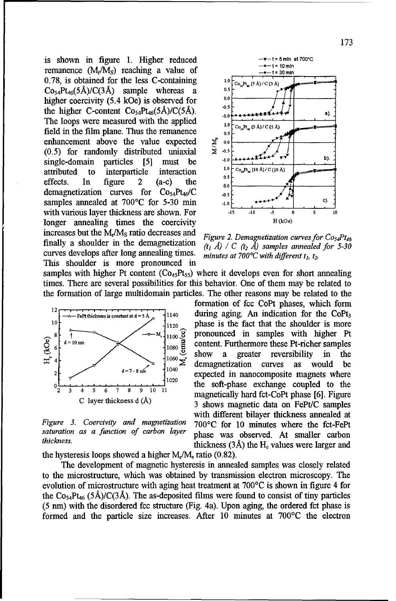is shown in figure 1. Higher reduced  $v = v - t = 5 \text{ min at } 700^{\circ}C$ **remanence**  $(M_r/M_s)$  **reaching a value of**  $\begin{array}{c} \n -4 \rightarrow 19 \text{ mm} \\
 -6 \rightarrow 15 \text{ mm} \\
 \n \end{array}$ 0.78, is obtained for the less C-containing  $C_0, P_1, (5 \lambda) / C(3 \lambda)$  comple whereas  $3 \times 5^5$  $\text{Co}_{54}\text{Pt}_{46}(5\text{\AA})/\text{C}(3\text{\AA})$  sample whereas a  $^{0.5}$ higher coercivity (5.4 kOe) is observed for  $^{0.9}$ the higher C-content  $Co<sub>54</sub>Pt<sub>46</sub>(5Å)/C(5Å).$ The loops were measured with the applied  $\frac{1.0}{1.0}$   $\frac{1.0}{\cos 2\theta}$   $\frac{1.0}{(5 \text{ A})/(C(5 \text{ A}))}$ field in the film plane. Thus the remanence<br>enhancement above the value expected  $\sum_{n=0}^{\infty}$ <br>(0.5) for randomly distributed uniaxial  $\sum_{n=0}^{\infty}$ enhancement above the value expected  $\boldsymbol{\Sigma}^{\text{P}}$  0.0 (0.5) for randomly distributed uniaxial  $\geq 0.5$ single-domain particles [5] must be  $1.0 \leftarrow 1.0 \leftarrow 1.0 \leftarrow 1.0 \leftarrow 1.0 \leftarrow 1.0 \leftarrow 1.0 \leftarrow 1.0 \leftarrow 1.0 \leftarrow 1.0 \leftarrow 1.0 \leftarrow 1.0 \leftarrow 1.0 \leftarrow 1.0 \leftarrow 1.0 \leftarrow 1.0 \leftarrow 1.0 \leftarrow 1.0 \leftarrow 1.0 \leftarrow 1.0 \leftarrow 1.0 \leftarrow 1.0 \leftarrow 1.0 \leftarrow 1.0 \leftarrow 1.0 \leftarrow 1.0 \leftarrow 1.$ attributed to interparticle interaction effects. In figure 2 (a-c) the  $\begin{bmatrix} 0 & 1 \end{bmatrix}$ demagnetization curves for  $Co_{54}Pt_{46}/C$   $\qquad \qquad$ samples annealed at  $700^{\circ}$ C for 5-30 min  $\cdot$ 1.0 with various layer thickness are shown. For  $\frac{15}{10}$   $\frac{1}{10}$   $\frac{5}{5}$   $\frac{0}{5}$   $\frac{5}{10}$ <br>longer annealing times the coercivity longer annealing times the coercivity increases but the M<sub>r</sub>/M<sub>s</sub> ratio decreases and *Figure 2. Demagnetization curves for Co<sub>54</sub>Pt<sub>46</sub>* finally a shoulder in the demagnetization  $\begin{array}{c} \text{Figure 2. Demogeneous curve} \\ \text{(t, A) / C (t, A) samples annealed for 5-30} \end{array}$ curves develops after long annealing times. This shoulder is more pronounced in



*C with different t 1, t2.*

samples with higher Pt content  $(Co_{45}Pt_{55})$  where it develops even for short annealing times. There are several possibilities for this behavior. One of them may be related to the formation of large multidomain particles. The other reasons may be related to the



the hysteresis loops showed a higher  $M_r/M_s$  ratio (0.82).

The development of magnetic hysteresis in annealed samples was closely related to the microstructure, which was obtained by transmission electron microscopy. The evolution of microstructure with aging heat treatment at  $700^{\circ}$ C is shown in figure 4 for the Co<sub>54</sub>Pt<sub>46</sub> (5Å)/C(3Å). The as-deposited films were found to consist of tiny particles (5 mn) with the disordered fcc structure (Fig. 4a). Upon aging, the ordered fct phase is formed and the particle size increases. After 10 minutes at 700'C the electron

formation of fcc CoPt phases, which form FePt thickness is constant at  $d = 5A$  1140 during aging. An indication for the CoPt<sub>3</sub>  $10<sup>1</sup>$   $1<sub>1120</sub>$  phase is the fact that the shoulder is more  $\begin{array}{c}\n\begin{array}{c}\n\text{S}\n\end{array}\n\end{array}\n\begin{array}{c}\n\begin{array}{c}\n\text{S}\n\end{array}\n\end{array}\n\end{array}\n\begin{array}{c}\n\begin{array}{c}\n\text{S}\n\end{array}\n\end{array}\n\end{array}\n\begin{array}{c}\n\begin{array}{c}\n\text{S}\n\end{array}\n\end{array}\n\end{array}\n\begin{array}{c}\n\text{Pronounced in samples with higher Pt} \\
\begin{array}{c}\n\text{S}\n\end{array}\n\end{array}\n\end{array}\n\begin{array}{c}\n\text{S}\$  $\epsilon$ <sup>10 nm</sup>  $\left\{\text{1000} \right\}$  content. Furthermore these Pt-richer samples  $4\frac{1}{4}$   $1080 \frac{1}{5}$  show a greater reversibility in the <sup>7-8 $m$ </sup>  $1040$  expected in nanocomposite magnets where the soft-phase exchange coupled to the 2 **<sup>3</sup>**4 **5 6 7 8 9 10 11** magnetically hard fct-CoPt phase [6]. Figure 3 shows magnetic data on FePt/C samples with different bilayer thickness annealed at Figure 3. Coercivity and magnetization 700°C for 10 minutes where the fct-FePt *saturation as a function of carbon layer* phase was observed. At smaller carbon *thickness.* **thickness** (3Å) the H<sub>c</sub> values were larger and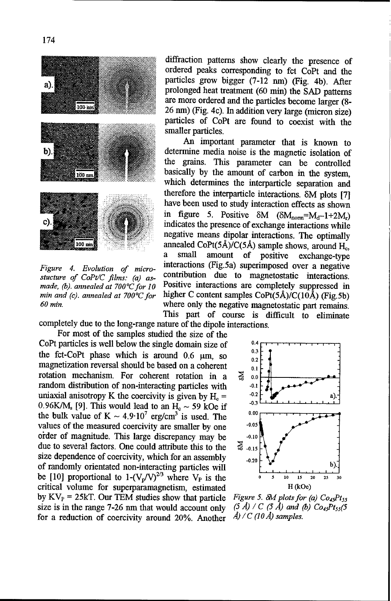

diffraction patterns show clearly the presence of ordered peaks corresponding to fct CoPt and the particles grow bigger  $(7-12 \text{ nm})$  (Fig. 4b). After prolonged heat treatment (60 min) the SAD patterns are more ordered and the particles become larger (8-<br>26 nm) (Fig. 4c). In addition very large (micron size) particles of CoPt are found to coexist with the smaller particles.

An important parameter that is known to determine media noise is the magnetic isolation of **MY** the grains. This parameter can be controlled basically by the amount of carbon in the system, which determines the interparticle separation and therefore the interparticle interactions. 8M plots **[71** have been used to study interaction effects as shown in figure 5. Positive  $\delta M$  ( $\delta M_{\text{nom}} = M_d - 1 + 2M_r$ ) indicates the presence of exchange interactions while negative means dipolar interactions. The optimally  $\frac{100 \text{ m}}{8}$   $\frac{800 \text{ m}}{100 \text{ m}}$  annealed CoPt(5Å)/C(5Å) sample shows, around H<sub>c</sub>, a small amount of positive exchange-type *Figure 4. Evolution of micro-* interactions (Fig.5a) superimposed over a negative stucture of CoPt/C films: (a) as-<br>contribution due to magnetostatic interactions. made, (b). annealed at 700°C for 10 Positive interactions are completely suppressed in *min and (c). annealed at 700°C for* higher C content samples CoPt(5Å)/C(10Å) (Fig.5b) **60** *min.* **where only the negative magnetostatic part remains.** This part of course is difficult to eliminate

completely due to the long-range nature of the dipole interactions. For most of the samples studied the size of the

CoPt particles is well below the single domain size of  $\frac{0.4}{0.3}$ the fct-CoPt phase which is around  $0.6 \mu m$ , so  $^{0.3}_{0.2}$ magnetization reversal should be based on a coherent  $\frac{1}{0.1}$ rotation mechanism. For coherent rotation in a  $\geq 0.000$ random distribution of non-interacting particles with **.0.1**  uniaxial anisotropy K the coercivity is given by  $H<sub>e</sub> = -0.2$ 0.96K/M<sub>s</sub> [9]. This would lead to an  $\overline{H}_c \sim 59$  kOe if  $\overline{H}_c$  the hulk volve of  $K = 4.0 \cdot 10^7$  exclored is used. The 0.00 the bulk value of  $K \sim 4.9 \cdot 10^7$  erg/cm<sup>3</sup> is used. The values of the measured coercivity are smaller by one **-0.05** order of magnitude. This large discrepancy may be  $-0.10$ due to several factors. One could attribute this to the  $\overrightarrow{a}$  .0.15 size dependence of coercivity, which for an assembly  $\qquad_{0.20}$ of randomly orientated non-interacting particles will **.** be [10] proportional to  $1-(V_p/V)^{2/3}$  where  $V_p$  is the **0 5** 10 **15** 20 25 critical volume for superparamagnetism, estimated H (kOe) by KV<sub>P</sub> = 25kT. Our TEM studies show that particle *Figure 5.*  $\delta M$  *plots for (a) Co<sub>45</sub>Pt<sub>55</sub> size is in the range 7-26 nm that would account only <i>(5 Å) / C (5 Å) and (b) Co<sub>45</sub>Pt<sub>55</sub>(5* for a reduction of coercivity for a reduction of coercivity around 20%. Another

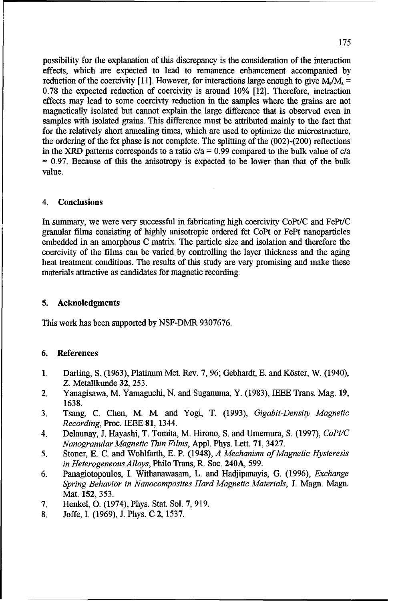possibility for the explanation of this discrepancy is the consideration of the interaction effects, which are expected to lead to remanence enhancement accompanied by reduction of the coercivity [11]. However, for interactions large enough to give  $M_r/M_s =$ 0.78 the expected reduction of coercivity is around 10% [12]. Therefore, inetraction effects may lead to some coercivty reduction in the samples where the grains are not magnetically isolated but cannot explain the large difference that is observed even in samples with isolated grains. This difference must be attributed mainly to the fact that for the relatively short annealing times, which are used to optimize the microstructure, the ordering of the fct phase is not complete. The splitting of the (002)-(200) reflections in the XRD patterns corresponds to a ratio  $c/a = 0.99$  compared to the bulk value of  $c/a$ **=** 0.97. Because of this the anisotropy is expected to be lower than that of the bulk value.

### 4. Conclusions

In summary, we were very successful in fabricating high coercivity CoPt/C and FePt/C granular films consisting of highly anisotropic ordered fct CoPt or FePt nanoparticles embedded in an amorphous C matrix. The particle size and isolation and therefore the coercivity of the films can be varied by controlling the layer thickness and the aging heat treatment conditions. The results of this study are very promising and make these materials attractive as candidates for magnetic recording.

#### 5. Acknoledgments

This work has been supported by NSF-DMR 9307676.

#### 6. References

- 1. Darling, S. (1963), Platinum Met. Rev. 7, 96; Gebhardt, E. and K6ster, W. (1940), Z. Metallkunde 32, 253.
- 2. Yanagisawa, M. Yamaguchi, N. and Suganuma, Y. (1983), IEEE Trans. Mag. **19,** 1638.
- 3. Tsang, C. Chen, M. M. and Yogi, T. (1993), *Gigabit-Density Magnetic Recording,* Proc. IEEE 81, 1344.
- 4. Delaunay, J. Hayashi, T. Tomita, M. Hirono, S. and Umemura, S. (1997), *CoPt/C Nanogranular Magnetic Thin Films,* Appl. Phys. Lett. 71, 3427.
- 5. Stoner, E. C. and Wohlfarth, E. P. (1948), *A Mechanism of Magnetic Hysteresis in Heterogeneous Alloys,* Philo Trans, R. Soc. 240A, 599.
- 6. Panagiotopoulos, I. Withanawasam, L. and Hadjipanayis, G. (1996), *Exchange Spring Behavior in Nanocomposites Hard Magnetic Materials,* J. Magn. Magn. Mat. 152, 353.
- 7. Henkel, **0.** (1974), Phys. Stat. Sol. 7, 919.
- 8. Joffe, I. (1969), J. Phys. C 2, 1537.